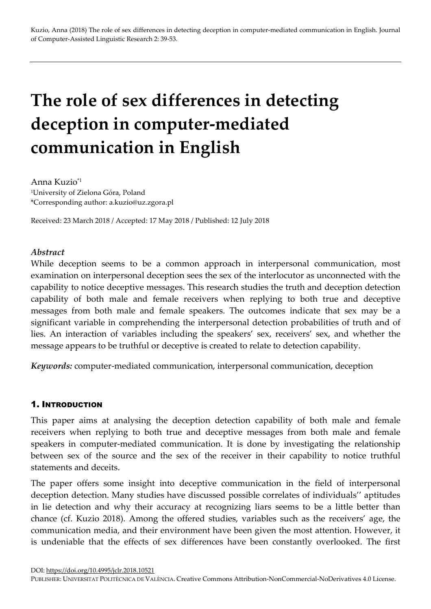# The role of sex differences in detecting deception in computer-mediated communication in English

Anna Kuzio\*1 <sup>1</sup>University of Zielona Góra, Poland \*Corresponding author: a.kuzio@uz.zgora.pl

Received: 23 March 2018 / Accepted: 17 May 2018 / Published: 12 July 2018

## Abstract

While deception seems to be a common approach in interpersonal communication, most examination on interpersonal deception sees the sex of the interlocutor as unconnected with the capability to notice deceptive messages. This research studies the truth and deception detection capability of both male and female receivers when replying to both true and deceptive messages from both male and female speakers. The outcomes indicate that sex may be a significant variable in comprehending the interpersonal detection probabilities of truth and of lies. An interaction of variables including the speakers' sex, receivers' sex, and whether the message appears to be truthful or deceptive is created to relate to detection capability.

Keywords: computer-mediated communication, interpersonal communication, deception

#### 1. INTRODUCTION

This paper aims at analysing the deception detection capability of both male and female receivers when replying to both true and deceptive messages from both male and female speakers in computer-mediated communication. It is done by investigating the relationship between sex of the source and the sex of the receiver in their capability to notice truthful statements and deceits.

The paper offers some insight into deceptive communication in the field of interpersonal deception detection. Many studies have discussed possible correlates of individuals'' aptitudes in lie detection and why their accuracy at recognizing liars seems to be a little better than chance (cf. Kuzio 2018). Among the offered studies, variables such as the receivers' age, the communication media, and their environment have been given the most attention. However, it is undeniable that the effects of sex differences have been constantly overlooked. The first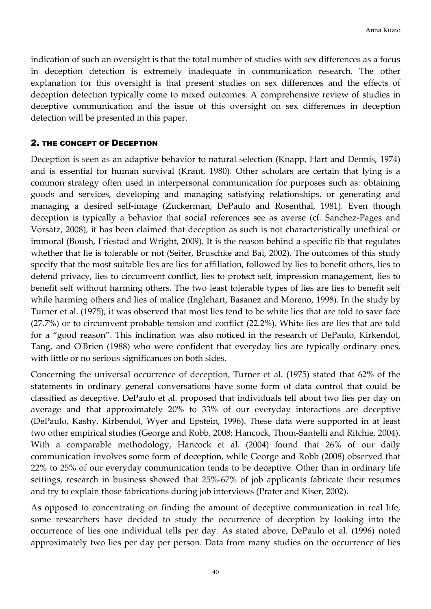indication of such an oversight is that the total number of studies with sex differences as a focus in deception detection is extremely inadequate in communication research. The other explanation for this oversight is that present studies on sex differences and the effects of deception detection typically come to mixed outcomes. A comprehensive review of studies in deceptive communication and the issue of this oversight on sex differences in deception detection will be presented in this paper.

#### 2. THE CONCEPT OF DECEPTION

Deception is seen as an adaptive behavior to natural selection (Knapp, Hart and Dennis, 1974) and is essential for human survival (Kraut, 1980). Other scholars are certain that lying is a common strategy often used in interpersonal communication for purposes such as: obtaining goods and services, developing and managing satisfying relationships, or generating and managing a desired self-image (Zuckerman, DePaulo and Rosenthal, 1981). Even though deception is typically a behavior that social references see as averse (cf. Sanchez-Pages and Vorsatz, 2008), it has been claimed that deception as such is not characteristically unethical or immoral (Boush, Friestad and Wright, 2009). It is the reason behind a specific fib that regulates whether that lie is tolerable or not (Seiter, Bruschke and Bai, 2002). The outcomes of this study specify that the most suitable lies are lies for affiliation, followed by lies to benefit others, lies to defend privacy, lies to circumvent conflict, lies to protect self, impression management, lies to benefit self without harming others. The two least tolerable types of lies are lies to benefit self while harming others and lies of malice (Inglehart, Basanez and Moreno, 1998). In the study by Turner et al. (1975), it was observed that most lies tend to be white lies that are told to save face (27.7%) or to circumvent probable tension and conflict (22.2%). White lies are lies that are told for a "good reason". This inclination was also noticed in the research of DePaulo, Kirkendol, Tang, and O'Brien (1988) who were confident that everyday lies are typically ordinary ones, with little or no serious significances on both sides.

Concerning the universal occurrence of deception, Turner et al. (1975) stated that 62% of the statements in ordinary general conversations have some form of data control that could be classified as deceptive. DePaulo et al. proposed that individuals tell about two lies per day on average and that approximately 20% to 33% of our everyday interactions are deceptive (DePaulo, Kashy, Kirbendol, Wyer and Epstein, 1996). These data were supported in at least two other empirical studies (George and Robb, 2008; Hancock, Thom-Santelli and Ritchie, 2004). With a comparable methodology, Hancock et al. (2004) found that 26% of our daily communication involves some form of deception, while George and Robb (2008) observed that 22% to 25% of our everyday communication tends to be deceptive. Other than in ordinary life settings, research in business showed that 25%-67% of job applicants fabricate their resumes and try to explain those fabrications during job interviews (Prater and Kiser, 2002).

As opposed to concentrating on finding the amount of deceptive communication in real life, some researchers have decided to study the occurrence of deception by looking into the occurrence of lies one individual tells per day. As stated above, DePaulo et al. (1996) noted approximately two lies per day per person. Data from many studies on the occurrence of lies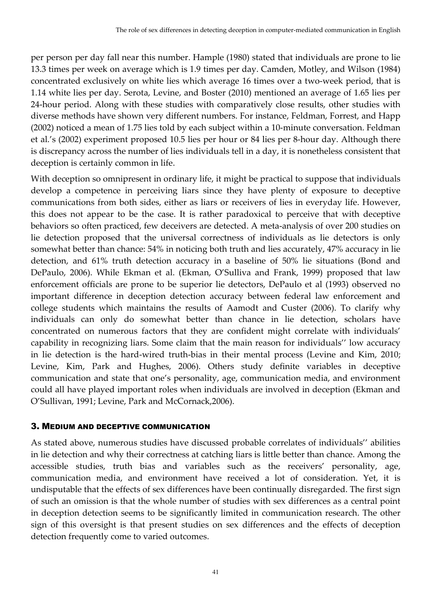per person per day fall near this number. Hample (1980) stated that individuals are prone to lie 13.3 times per week on average which is 1.9 times per day. Camden, Motley, and Wilson (1984) concentrated exclusively on white lies which average 16 times over a two-week period, that is 1.14 white lies per day. Serota, Levine, and Boster (2010) mentioned an average of 1.65 lies per 24-hour period. Along with these studies with comparatively close results, other studies with diverse methods have shown very different numbers. For instance, Feldman, Forrest, and Happ (2002) noticed a mean of 1.75 lies told by each subject within a 10-minute conversation. Feldman et al.'s (2002) experiment proposed 10.5 lies per hour or 84 lies per 8-hour day. Although there is discrepancy across the number of lies individuals tell in a day, it is nonetheless consistent that deception is certainly common in life.

With deception so omnipresent in ordinary life, it might be practical to suppose that individuals develop a competence in perceiving liars since they have plenty of exposure to deceptive communications from both sides, either as liars or receivers of lies in everyday life. However, this does not appear to be the case. It is rather paradoxical to perceive that with deceptive behaviors so often practiced, few deceivers are detected. A meta-analysis of over 200 studies on lie detection proposed that the universal correctness of individuals as lie detectors is only somewhat better than chance: 54% in noticing both truth and lies accurately, 47% accuracy in lie detection, and 61% truth detection accuracy in a baseline of 50% lie situations (Bond and DePaulo, 2006). While Ekman et al. (Ekman, O'Sulliva and Frank, 1999) proposed that law enforcement officials are prone to be superior lie detectors, DePaulo et al (1993) observed no important difference in deception detection accuracy between federal law enforcement and college students which maintains the results of Aamodt and Custer (2006). To clarify why individuals can only do somewhat better than chance in lie detection, scholars have concentrated on numerous factors that they are confident might correlate with individuals' capability in recognizing liars. Some claim that the main reason for individuals'' low accuracy in lie detection is the hard-wired truth-bias in their mental process (Levine and Kim, 2010; Levine, Kim, Park and Hughes, 2006). Others study definite variables in deceptive communication and state that one's personality, age, communication media, and environment could all have played important roles when individuals are involved in deception (Ekman and O'Sullivan, 1991; Levine, Park and McCornack,2006).

## 3. MEDIUM AND DECEPTIVE COMMUNICATION

As stated above, numerous studies have discussed probable correlates of individuals'' abilities in lie detection and why their correctness at catching liars is little better than chance. Among the accessible studies, truth bias and variables such as the receivers' personality, age, communication media, and environment have received a lot of consideration. Yet, it is undisputable that the effects of sex differences have been continually disregarded. The first sign of such an omission is that the whole number of studies with sex differences as a central point in deception detection seems to be significantly limited in communication research. The other sign of this oversight is that present studies on sex differences and the effects of deception detection frequently come to varied outcomes.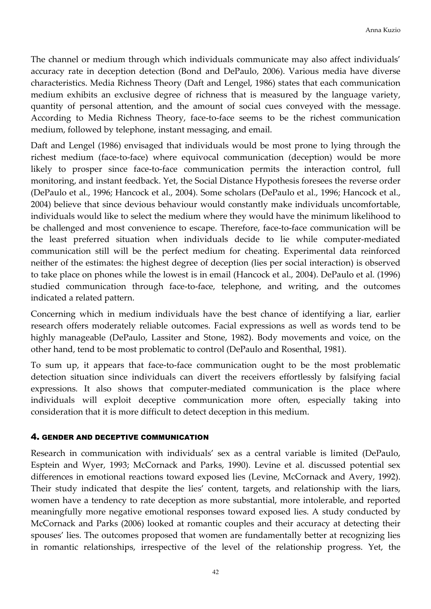The channel or medium through which individuals communicate may also affect individuals' accuracy rate in deception detection (Bond and DePaulo, 2006). Various media have diverse characteristics. Media Richness Theory (Daft and Lengel, 1986) states that each communication medium exhibits an exclusive degree of richness that is measured by the language variety, quantity of personal attention, and the amount of social cues conveyed with the message. According to Media Richness Theory, face-to-face seems to be the richest communication medium, followed by telephone, instant messaging, and email.

Daft and Lengel (1986) envisaged that individuals would be most prone to lying through the richest medium (face-to-face) where equivocal communication (deception) would be more likely to prosper since face-to-face communication permits the interaction control, full monitoring, and instant feedback. Yet, the Social Distance Hypothesis foresees the reverse order (DePaulo et al., 1996; Hancock et al., 2004). Some scholars (DePaulo et al., 1996; Hancock et al., 2004) believe that since devious behaviour would constantly make individuals uncomfortable, individuals would like to select the medium where they would have the minimum likelihood to be challenged and most convenience to escape. Therefore, face-to-face communication will be the least preferred situation when individuals decide to lie while computer-mediated communication still will be the perfect medium for cheating. Experimental data reinforced neither of the estimates: the highest degree of deception (lies per social interaction) is observed to take place on phones while the lowest is in email (Hancock et al., 2004). DePaulo et al. (1996) studied communication through face-to-face, telephone, and writing, and the outcomes indicated a related pattern.

Concerning which in medium individuals have the best chance of identifying a liar, earlier research offers moderately reliable outcomes. Facial expressions as well as words tend to be highly manageable (DePaulo, Lassiter and Stone, 1982). Body movements and voice, on the other hand, tend to be most problematic to control (DePaulo and Rosenthal, 1981).

To sum up, it appears that face-to-face communication ought to be the most problematic detection situation since individuals can divert the receivers effortlessly by falsifying facial expressions. It also shows that computer-mediated communication is the place where individuals will exploit deceptive communication more often, especially taking into consideration that it is more difficult to detect deception in this medium.

#### 4. GENDER AND DECEPTIVE COMMUNICATION

Research in communication with individuals' sex as a central variable is limited (DePaulo, Esptein and Wyer, 1993; McCornack and Parks, 1990). Levine et al. discussed potential sex differences in emotional reactions toward exposed lies (Levine, McCornack and Avery, 1992). Their study indicated that despite the lies' content, targets, and relationship with the liars, women have a tendency to rate deception as more substantial, more intolerable, and reported meaningfully more negative emotional responses toward exposed lies. A study conducted by McCornack and Parks (2006) looked at romantic couples and their accuracy at detecting their spouses' lies. The outcomes proposed that women are fundamentally better at recognizing lies in romantic relationships, irrespective of the level of the relationship progress. Yet, the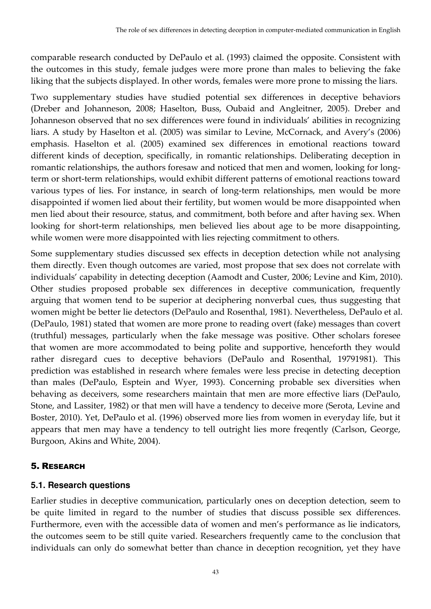comparable research conducted by DePaulo et al. (1993) claimed the opposite. Consistent with the outcomes in this study, female judges were more prone than males to believing the fake liking that the subjects displayed. In other words, females were more prone to missing the liars.

Two supplementary studies have studied potential sex differences in deceptive behaviors (Dreber and Johanneson, 2008; Haselton, Buss, Oubaid and Angleitner, 2005). Dreber and Johanneson observed that no sex differences were found in individuals' abilities in recognizing liars. A study by Haselton et al. (2005) was similar to Levine, McCornack, and Avery's (2006) emphasis. Haselton et al. (2005) examined sex differences in emotional reactions toward different kinds of deception, specifically, in romantic relationships. Deliberating deception in romantic relationships, the authors foresaw and noticed that men and women, looking for longterm or short-term relationships, would exhibit different patterns of emotional reactions toward various types of lies. For instance, in search of long-term relationships, men would be more disappointed if women lied about their fertility, but women would be more disappointed when men lied about their resource, status, and commitment, both before and after having sex. When looking for short-term relationships, men believed lies about age to be more disappointing, while women were more disappointed with lies rejecting commitment to others.

Some supplementary studies discussed sex effects in deception detection while not analysing them directly. Even though outcomes are varied, most propose that sex does not correlate with individuals' capability in detecting deception (Aamodt and Custer, 2006; Levine and Kim, 2010). Other studies proposed probable sex differences in deceptive communication, frequently arguing that women tend to be superior at deciphering nonverbal cues, thus suggesting that women might be better lie detectors (DePaulo and Rosenthal, 1981). Nevertheless, DePaulo et al. (DePaulo, 1981) stated that women are more prone to reading overt (fake) messages than covert (truthful) messages, particularly when the fake message was positive. Other scholars foresee that women are more accommodated to being polite and supportive, henceforth they would rather disregard cues to deceptive behaviors (DePaulo and Rosenthal, 19791981). This prediction was established in research where females were less precise in detecting deception than males (DePaulo, Esptein and Wyer, 1993). Concerning probable sex diversities when behaving as deceivers, some researchers maintain that men are more effective liars (DePaulo, Stone, and Lassiter, 1982) or that men will have a tendency to deceive more (Serota, Levine and Boster, 2010). Yet, DePaulo et al. (1996) observed more lies from women in everyday life, but it appears that men may have a tendency to tell outright lies more freqently (Carlson, George, Burgoon, Akins and White, 2004).

# 5. RESEARCH

# **5.1. Research questions**

Earlier studies in deceptive communication, particularly ones on deception detection, seem to be quite limited in regard to the number of studies that discuss possible sex differences. Furthermore, even with the accessible data of women and men's performance as lie indicators, the outcomes seem to be still quite varied. Researchers frequently came to the conclusion that individuals can only do somewhat better than chance in deception recognition, yet they have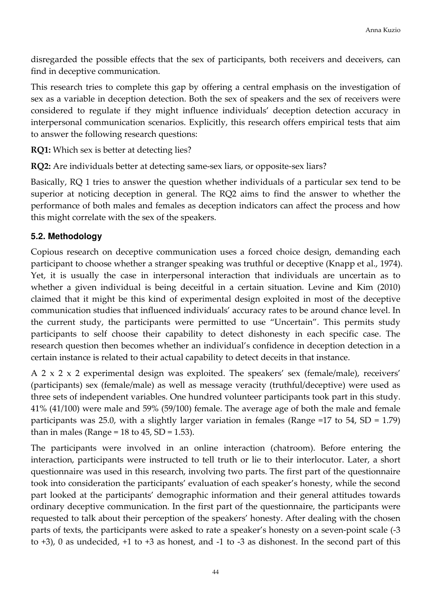disregarded the possible effects that the sex of participants, both receivers and deceivers, can find in deceptive communication.

This research tries to complete this gap by offering a central emphasis on the investigation of sex as a variable in deception detection. Both the sex of speakers and the sex of receivers were considered to regulate if they might influence individuals' deception detection accuracy in interpersonal communication scenarios. Explicitly, this research offers empirical tests that aim to answer the following research questions:

RQ1: Which sex is better at detecting lies?

RQ2: Are individuals better at detecting same-sex liars, or opposite-sex liars?

Basically, RQ 1 tries to answer the question whether individuals of a particular sex tend to be superior at noticing deception in general. The RQ2 aims to find the answer to whether the performance of both males and females as deception indicators can affect the process and how this might correlate with the sex of the speakers.

## **5.2. Methodology**

Copious research on deceptive communication uses a forced choice design, demanding each participant to choose whether a stranger speaking was truthful or deceptive (Knapp et al., 1974). Yet, it is usually the case in interpersonal interaction that individuals are uncertain as to whether a given individual is being deceitful in a certain situation. Levine and Kim (2010) claimed that it might be this kind of experimental design exploited in most of the deceptive communication studies that influenced individuals' accuracy rates to be around chance level. In the current study, the participants were permitted to use "Uncertain". This permits study participants to self choose their capability to detect dishonesty in each specific case. The research question then becomes whether an individual's confidence in deception detection in a certain instance is related to their actual capability to detect deceits in that instance.

A 2 x 2 x 2 experimental design was exploited. The speakers' sex (female/male), receivers' (participants) sex (female/male) as well as message veracity (truthful/deceptive) were used as three sets of independent variables. One hundred volunteer participants took part in this study. 41% (41/100) were male and 59% (59/100) female. The average age of both the male and female participants was 25.0, with a slightly larger variation in females (Range =17 to 54, SD = 1.79) than in males (Range =  $18$  to  $45$ , SD =  $1.53$ ).

The participants were involved in an online interaction (chatroom). Before entering the interaction, participants were instructed to tell truth or lie to their interlocutor. Later, a short questionnaire was used in this research, involving two parts. The first part of the questionnaire took into consideration the participants' evaluation of each speaker's honesty, while the second part looked at the participants' demographic information and their general attitudes towards ordinary deceptive communication. In the first part of the questionnaire, the participants were requested to talk about their perception of the speakers' honesty. After dealing with the chosen parts of texts, the participants were asked to rate a speaker's honesty on a seven-point scale (-3 to +3), 0 as undecided, +1 to +3 as honest, and -1 to -3 as dishonest. In the second part of this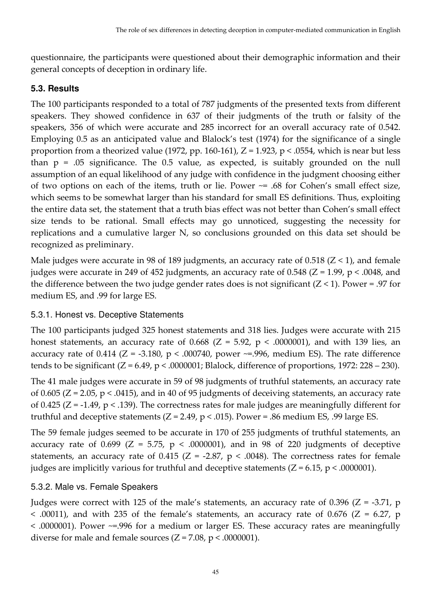questionnaire, the participants were questioned about their demographic information and their general concepts of deception in ordinary life.

## **5.3. Results**

The 100 participants responded to a total of 787 judgments of the presented texts from different speakers. They showed confidence in 637 of their judgments of the truth or falsity of the speakers, 356 of which were accurate and 285 incorrect for an overall accuracy rate of 0.542. Employing 0.5 as an anticipated value and Blalock's test (1974) for the significance of a single proportion from a theorized value (1972, pp. 160-161),  $Z = 1.923$ ,  $p < .0554$ , which is near but less than  $p = .05$  significance. The 0.5 value, as expected, is suitably grounded on the null assumption of an equal likelihood of any judge with confidence in the judgment choosing either of two options on each of the items, truth or lie. Power ~= .68 for Cohen's small effect size, which seems to be somewhat larger than his standard for small ES definitions. Thus, exploiting the entire data set, the statement that a truth bias effect was not better than Cohen's small effect size tends to be rational. Small effects may go unnoticed, suggesting the necessity for replications and a cumulative larger N, so conclusions grounded on this data set should be recognized as preliminary.

Male judges were accurate in 98 of 189 judgments, an accuracy rate of 0.518  $(Z < 1)$ , and female judges were accurate in 249 of 452 judgments, an accuracy rate of 0.548 ( $Z = 1.99$ ,  $p < .0048$ , and the difference between the two judge gender rates does is not significant  $(Z < 1)$ . Power = .97 for medium ES, and .99 for large ES.

## 5.3.1. Honest vs. Deceptive Statements

The 100 participants judged 325 honest statements and 318 lies. Judges were accurate with 215 honest statements, an accuracy rate of 0.668 (Z = 5.92,  $p < .0000001$ ), and with 139 lies, an accuracy rate of 0.414 ( $Z = -3.180$ ,  $p < .000740$ , power  $\sim = .996$ , medium ES). The rate difference tends to be significant  $(Z = 6.49, p < .0000001;$  Blalock, difference of proportions, 1972: 228 – 230).

The 41 male judges were accurate in 59 of 98 judgments of truthful statements, an accuracy rate of 0.605 ( $Z = 2.05$ ,  $p < .0415$ ), and in 40 of 95 judgments of deceiving statements, an accuracy rate of 0.425 ( $Z = -1.49$ ,  $p < 0.139$ ). The correctness rates for male judges are meaningfully different for truthful and deceptive statements ( $Z = 2.49$ ,  $p < .015$ ). Power = .86 medium ES, .99 large ES.

The 59 female judges seemed to be accurate in 170 of 255 judgments of truthful statements, an accuracy rate of 0.699 ( $Z = 5.75$ ,  $p < .0000001$ ), and in 98 of 220 judgments of deceptive statements, an accuracy rate of 0.415 ( $Z = -2.87$ ,  $p < .0048$ ). The correctness rates for female judges are implicitly various for truthful and deceptive statements  $(Z = 6.15, p < .0000001)$ .

## 5.3.2. Male vs. Female Speakers

Judges were correct with 125 of the male's statements, an accuracy rate of 0.396 ( $Z = -3.71$ , p  $\leq$  .00011), and with 235 of the female's statements, an accuracy rate of 0.676 (Z = 6.27, p < .0000001). Power ~=.996 for a medium or larger ES. These accuracy rates are meaningfully diverse for male and female sources  $(Z = 7.08, p < .0000001)$ .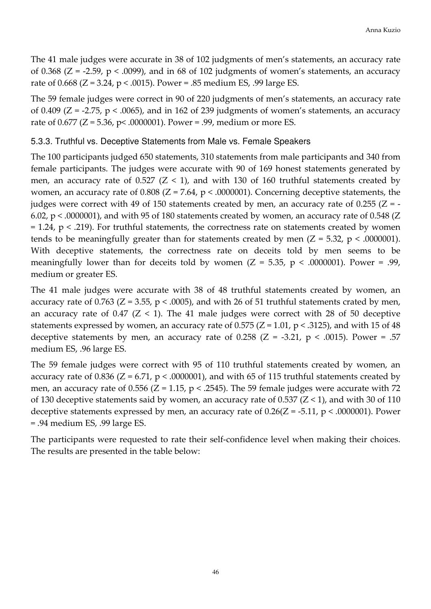The 41 male judges were accurate in 38 of 102 judgments of men's statements, an accuracy rate of 0.368 ( $Z = -2.59$ ,  $p < .0099$ ), and in 68 of 102 judgments of women's statements, an accuracy rate of 0.668 (Z = 3.24, p < .0015). Power = .85 medium ES, .99 large ES.

The 59 female judges were correct in 90 of 220 judgments of men's statements, an accuracy rate of 0.409 ( $Z = -2.75$ ,  $p < .0065$ ), and in 162 of 239 judgments of women's statements, an accuracy rate of 0.677 (Z = 5.36, p< .0000001). Power = .99, medium or more ES.

#### 5.3.3. Truthful vs. Deceptive Statements from Male vs. Female Speakers

The 100 participants judged 650 statements, 310 statements from male participants and 340 from female participants. The judges were accurate with 90 of 169 honest statements generated by men, an accuracy rate of  $0.527$  ( $Z < 1$ ), and with 130 of 160 truthful statements created by women, an accuracy rate of  $0.808$  (Z = 7.64, p < .0000001). Concerning deceptive statements, the judges were correct with 49 of 150 statements created by men, an accuracy rate of 0.255 ( $Z = -$ 6.02,  $p < .0000001$ ), and with 95 of 180 statements created by women, an accuracy rate of 0.548 (Z  $= 1.24$ ,  $p < .219$ ). For truthful statements, the correctness rate on statements created by women tends to be meaningfully greater than for statements created by men  $(Z = 5.32, p < .0000001)$ . With deceptive statements, the correctness rate on deceits told by men seems to be meaningfully lower than for deceits told by women  $(Z = 5.35, p < .0000001)$ . Power = .99, medium or greater ES.

The 41 male judges were accurate with 38 of 48 truthful statements created by women, an accuracy rate of 0.763 ( $Z = 3.55$ ,  $p < .0005$ ), and with 26 of 51 truthful statements crated by men, an accuracy rate of  $0.47$  ( $Z < 1$ ). The 41 male judges were correct with 28 of 50 deceptive statements expressed by women, an accuracy rate of 0.575 ( $Z = 1.01$ ,  $p < .3125$ ), and with 15 of 48 deceptive statements by men, an accuracy rate of 0.258 ( $Z = -3.21$ ,  $p < .0015$ ). Power = .57 medium ES, .96 large ES.

The 59 female judges were correct with 95 of 110 truthful statements created by women, an accuracy rate of 0.836 ( $Z = 6.71$ ,  $p < .0000001$ ), and with 65 of 115 truthful statements created by men, an accuracy rate of 0.556 ( $Z = 1.15$ ,  $p < .2545$ ). The 59 female judges were accurate with 72 of 130 deceptive statements said by women, an accuracy rate of 0.537 ( $Z$  < 1), and with 30 of 110 deceptive statements expressed by men, an accuracy rate of  $0.26(Z = -5.11, p < .0000001)$ . Power = .94 medium ES, .99 large ES.

The participants were requested to rate their self-confidence level when making their choices. The results are presented in the table below: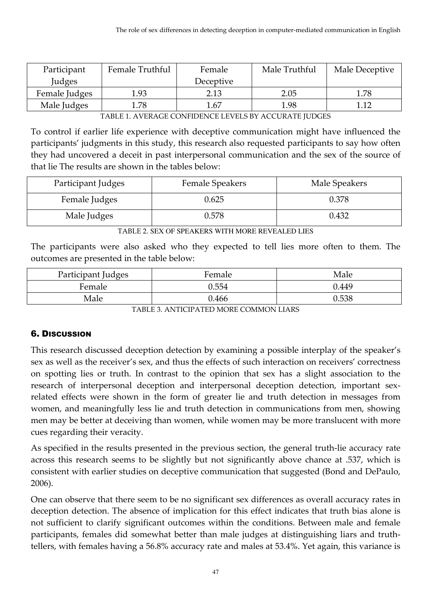| Participant   | Female Truthful | Female    | Male Truthful | Male Deceptive |
|---------------|-----------------|-----------|---------------|----------------|
| Judges        |                 | Deceptive |               |                |
| Female Judges | 1.93            | 2.13      | 2.05          | 1.78           |
| Male Judges   | 1.78            | 1.67      | 1.98          |                |

TABLE 1. AVERAGE CONFIDENCE LEVELS BY ACCURATE JUDGES

To control if earlier life experience with deceptive communication might have influenced the participants' judgments in this study, this research also requested participants to say how often they had uncovered a deceit in past interpersonal communication and the sex of the source of that lie The results are shown in the tables below:

| Participant Judges | Female Speakers | Male Speakers |
|--------------------|-----------------|---------------|
| Female Judges      | 0.625           | 0.378         |
| Male Judges        | 0.578           | 0.432         |

TABLE 2. SEX OF SPEAKERS WITH MORE REVEALED LIES

The participants were also asked who they expected to tell lies more often to them. The outcomes are presented in the table below:

| Participant Judges | Female | Male  |
|--------------------|--------|-------|
| Female             | 0.554  | 0.449 |
| Male               | 0.466  | 0.538 |

TABLE 3. ANTICIPATED MORE COMMON LIARS

## 6. DISCUSSION

This research discussed deception detection by examining a possible interplay of the speaker's sex as well as the receiver's sex, and thus the effects of such interaction on receivers' correctness on spotting lies or truth. In contrast to the opinion that sex has a slight association to the research of interpersonal deception and interpersonal deception detection, important sexrelated effects were shown in the form of greater lie and truth detection in messages from women, and meaningfully less lie and truth detection in communications from men, showing men may be better at deceiving than women, while women may be more translucent with more cues regarding their veracity.

As specified in the results presented in the previous section, the general truth-lie accuracy rate across this research seems to be slightly but not significantly above chance at .537, which is consistent with earlier studies on deceptive communication that suggested (Bond and DePaulo, 2006).

One can observe that there seem to be no significant sex differences as overall accuracy rates in deception detection. The absence of implication for this effect indicates that truth bias alone is not sufficient to clarify significant outcomes within the conditions. Between male and female participants, females did somewhat better than male judges at distinguishing liars and truthtellers, with females having a 56.8% accuracy rate and males at 53.4%. Yet again, this variance is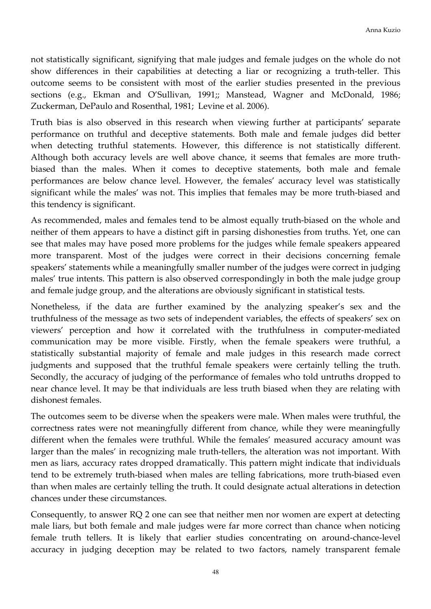not statistically significant, signifying that male judges and female judges on the whole do not show differences in their capabilities at detecting a liar or recognizing a truth-teller. This outcome seems to be consistent with most of the earlier studies presented in the previous sections (e.g., Ekman and O'Sullivan, 1991;; Manstead, Wagner and McDonald, 1986; Zuckerman, DePaulo and Rosenthal, 1981; Levine et al. 2006).

Truth bias is also observed in this research when viewing further at participants' separate performance on truthful and deceptive statements. Both male and female judges did better when detecting truthful statements. However, this difference is not statistically different. Although both accuracy levels are well above chance, it seems that females are more truthbiased than the males. When it comes to deceptive statements, both male and female performances are below chance level. However, the females' accuracy level was statistically significant while the males' was not. This implies that females may be more truth-biased and this tendency is significant.

As recommended, males and females tend to be almost equally truth-biased on the whole and neither of them appears to have a distinct gift in parsing dishonesties from truths. Yet, one can see that males may have posed more problems for the judges while female speakers appeared more transparent. Most of the judges were correct in their decisions concerning female speakers' statements while a meaningfully smaller number of the judges were correct in judging males' true intents. This pattern is also observed correspondingly in both the male judge group and female judge group, and the alterations are obviously significant in statistical tests.

Nonetheless, if the data are further examined by the analyzing speaker's sex and the truthfulness of the message as two sets of independent variables, the effects of speakers' sex on viewers' perception and how it correlated with the truthfulness in computer-mediated communication may be more visible. Firstly, when the female speakers were truthful, a statistically substantial majority of female and male judges in this research made correct judgments and supposed that the truthful female speakers were certainly telling the truth. Secondly, the accuracy of judging of the performance of females who told untruths dropped to near chance level. It may be that individuals are less truth biased when they are relating with dishonest females.

The outcomes seem to be diverse when the speakers were male. When males were truthful, the correctness rates were not meaningfully different from chance, while they were meaningfully different when the females were truthful. While the females' measured accuracy amount was larger than the males' in recognizing male truth-tellers, the alteration was not important. With men as liars, accuracy rates dropped dramatically. This pattern might indicate that individuals tend to be extremely truth-biased when males are telling fabrications, more truth-biased even than when males are certainly telling the truth. It could designate actual alterations in detection chances under these circumstances.

Consequently, to answer RQ 2 one can see that neither men nor women are expert at detecting male liars, but both female and male judges were far more correct than chance when noticing female truth tellers. It is likely that earlier studies concentrating on around-chance-level accuracy in judging deception may be related to two factors, namely transparent female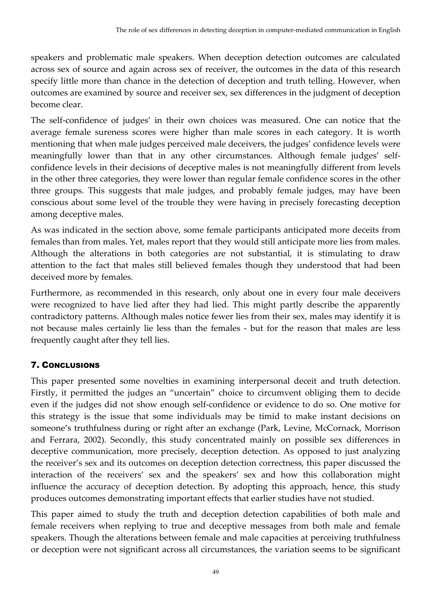speakers and problematic male speakers. When deception detection outcomes are calculated across sex of source and again across sex of receiver, the outcomes in the data of this research specify little more than chance in the detection of deception and truth telling. However, when outcomes are examined by source and receiver sex, sex differences in the judgment of deception become clear.

The self-confidence of judges' in their own choices was measured. One can notice that the average female sureness scores were higher than male scores in each category. It is worth mentioning that when male judges perceived male deceivers, the judges' confidence levels were meaningfully lower than that in any other circumstances. Although female judges' selfconfidence levels in their decisions of deceptive males is not meaningfully different from levels in the other three categories, they were lower than regular female confidence scores in the other three groups. This suggests that male judges, and probably female judges, may have been conscious about some level of the trouble they were having in precisely forecasting deception among deceptive males.

As was indicated in the section above, some female participants anticipated more deceits from females than from males. Yet, males report that they would still anticipate more lies from males. Although the alterations in both categories are not substantial, it is stimulating to draw attention to the fact that males still believed females though they understood that had been deceived more by females.

Furthermore, as recommended in this research, only about one in every four male deceivers were recognized to have lied after they had lied. This might partly describe the apparently contradictory patterns. Although males notice fewer lies from their sex, males may identify it is not because males certainly lie less than the females - but for the reason that males are less frequently caught after they tell lies.

# 7. CONCLUSIONS

This paper presented some novelties in examining interpersonal deceit and truth detection. Firstly, it permitted the judges an "uncertain" choice to circumvent obliging them to decide even if the judges did not show enough self-confidence or evidence to do so. One motive for this strategy is the issue that some individuals may be timid to make instant decisions on someone's truthfulness during or right after an exchange (Park, Levine, McCornack, Morrison and Ferrara, 2002). Secondly, this study concentrated mainly on possible sex differences in deceptive communication, more precisely, deception detection. As opposed to just analyzing the receiver's sex and its outcomes on deception detection correctness, this paper discussed the interaction of the receivers' sex and the speakers' sex and how this collaboration might influence the accuracy of deception detection. By adopting this approach, hence, this study produces outcomes demonstrating important effects that earlier studies have not studied.

This paper aimed to study the truth and deception detection capabilities of both male and female receivers when replying to true and deceptive messages from both male and female speakers. Though the alterations between female and male capacities at perceiving truthfulness or deception were not significant across all circumstances, the variation seems to be significant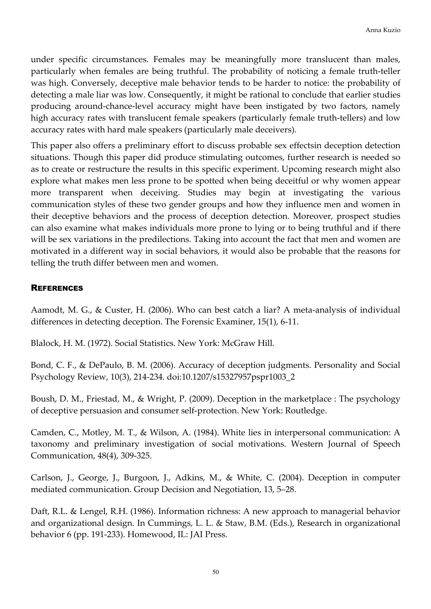under specific circumstances. Females may be meaningfully more translucent than males, particularly when females are being truthful. The probability of noticing a female truth-teller was high. Conversely, deceptive male behavior tends to be harder to notice: the probability of detecting a male liar was low. Consequently, it might be rational to conclude that earlier studies producing around-chance-level accuracy might have been instigated by two factors, namely high accuracy rates with translucent female speakers (particularly female truth-tellers) and low accuracy rates with hard male speakers (particularly male deceivers).

This paper also offers a preliminary effort to discuss probable sex effectsin deception detection situations. Though this paper did produce stimulating outcomes, further research is needed so as to create or restructure the results in this specific experiment. Upcoming research might also explore what makes men less prone to be spotted when being deceitful or why women appear more transparent when deceiving. Studies may begin at investigating the various communication styles of these two gender groups and how they influence men and women in their deceptive behaviors and the process of deception detection. Moreover, prospect studies can also examine what makes individuals more prone to lying or to being truthful and if there will be sex variations in the predilections. Taking into account the fact that men and women are motivated in a different way in social behaviors, it would also be probable that the reasons for telling the truth differ between men and women.

## **REFERENCES**

Aamodt, M. G., & Custer, H. (2006). Who can best catch a liar? A meta-analysis of individual differences in detecting deception. The Forensic Examiner, 15(1), 6-11.

Blalock, H. M. (1972). Social Statistics. New York: McGraw Hill.

Bond, C. F., & DePaulo, B. M. (2006). Accuracy of deception judgments. Personality and Social Psychology Review, 10(3), 214-234. doi:10.1207/s15327957pspr1003\_2

Boush, D. M., Friestad, M., & Wright, P. (2009). Deception in the marketplace : The psychology of deceptive persuasion and consumer self-protection. New York: Routledge.

Camden, C., Motley, M. T., & Wilson, A. (1984). White lies in interpersonal communication: A taxonomy and preliminary investigation of social motivations. Western Journal of Speech Communication, 48(4), 309-325.

Carlson, J., George, J., Burgoon, J., Adkins, M., & White, C. (2004). Deception in computer mediated communication. Group Decision and Negotiation, 13, 5–28.

Daft, R.L. & Lengel, R.H. (1986). Information richness: A new approach to managerial behavior and organizational design. In Cummings, L. L. & Staw, B.M. (Eds.), Research in organizational behavior 6 (pp. 191-233). Homewood, IL: JAI Press.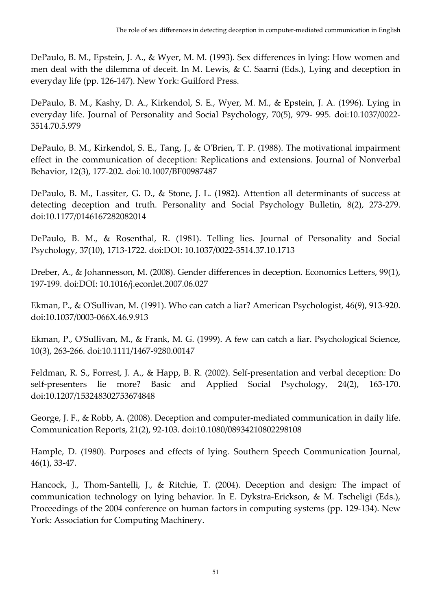DePaulo, B. M., Epstein, J. A., & Wyer, M. M. (1993). Sex differences in lying: How women and men deal with the dilemma of deceit. In M. Lewis, & C. Saarni (Eds.), Lying and deception in everyday life (pp. 126-147). New York: Guilford Press.

DePaulo, B. M., Kashy, D. A., Kirkendol, S. E., Wyer, M. M., & Epstein, J. A. (1996). Lying in everyday life. Journal of Personality and Social Psychology, 70(5), 979- 995. doi:10.1037/0022- 3514.70.5.979

DePaulo, B. M., Kirkendol, S. E., Tang, J., & O'Brien, T. P. (1988). The motivational impairment effect in the communication of deception: Replications and extensions. Journal of Nonverbal Behavior, 12(3), 177-202. doi:10.1007/BF00987487

DePaulo, B. M., Lassiter, G. D., & Stone, J. L. (1982). Attention all determinants of success at detecting deception and truth. Personality and Social Psychology Bulletin, 8(2), 273-279. doi:10.1177/0146167282082014

DePaulo, B. M., & Rosenthal, R. (1981). Telling lies. Journal of Personality and Social Psychology, 37(10), 1713-1722. doi:DOI: 10.1037/0022-3514.37.10.1713

Dreber, A., & Johannesson, M. (2008). Gender differences in deception. Economics Letters, 99(1), 197-199. doi:DOI: 10.1016/j.econlet.2007.06.027

Ekman, P., & O'Sullivan, M. (1991). Who can catch a liar? American Psychologist, 46(9), 913-920. doi:10.1037/0003-066X.46.9.913

Ekman, P., O'Sullivan, M., & Frank, M. G. (1999). A few can catch a liar. Psychological Science, 10(3), 263-266. doi:10.1111/1467-9280.00147

Feldman, R. S., Forrest, J. A., & Happ, B. R. (2002). Self-presentation and verbal deception: Do self-presenters lie more? Basic and Applied Social Psychology, 24(2), 163-170. doi:10.1207/153248302753674848

George, J. F., & Robb, A. (2008). Deception and computer-mediated communication in daily life. Communication Reports, 21(2), 92-103. doi:10.1080/08934210802298108

Hample, D. (1980). Purposes and effects of lying. Southern Speech Communication Journal, 46(1), 33-47.

Hancock, J., Thom-Santelli, J., & Ritchie, T. (2004). Deception and design: The impact of communication technology on lying behavior. In E. Dykstra-Erickson, & M. Tscheligi (Eds.), Proceedings of the 2004 conference on human factors in computing systems (pp. 129-134). New York: Association for Computing Machinery.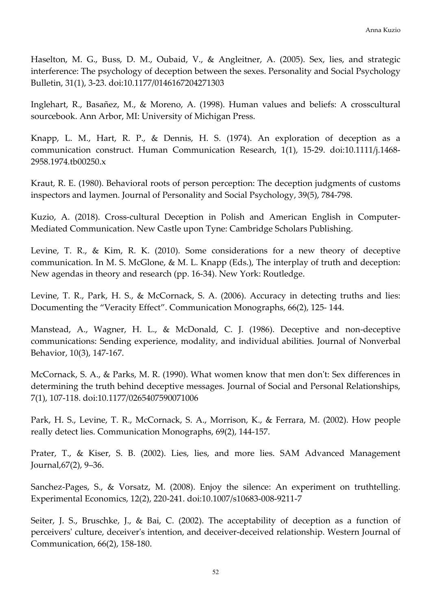Haselton, M. G., Buss, D. M., Oubaid, V., & Angleitner, A. (2005). Sex, lies, and strategic interference: The psychology of deception between the sexes. Personality and Social Psychology Bulletin, 31(1), 3-23. doi:10.1177/0146167204271303

Inglehart, R., Basañez, M., & Moreno, A. (1998). Human values and beliefs: A crosscultural sourcebook. Ann Arbor, MI: University of Michigan Press.

Knapp, L. M., Hart, R. P., & Dennis, H. S. (1974). An exploration of deception as a communication construct. Human Communication Research, 1(1), 15-29. doi:10.1111/j.1468- 2958.1974.tb00250.x

Kraut, R. E. (1980). Behavioral roots of person perception: The deception judgments of customs inspectors and laymen. Journal of Personality and Social Psychology, 39(5), 784-798.

Kuzio, A. (2018). Cross-cultural Deception in Polish and American English in Computer-Mediated Communication. New Castle upon Tyne: Cambridge Scholars Publishing.

Levine, T. R., & Kim, R. K. (2010). Some considerations for a new theory of deceptive communication. In M. S. McGlone, & M. L. Knapp (Eds.), The interplay of truth and deception: New agendas in theory and research (pp. 16-34). New York: Routledge.

Levine, T. R., Park, H. S., & McCornack, S. A. (2006). Accuracy in detecting truths and lies: Documenting the "Veracity Effect". Communication Monographs, 66(2), 125- 144.

Manstead, A., Wagner, H. L., & McDonald, C. J. (1986). Deceptive and non-deceptive communications: Sending experience, modality, and individual abilities. Journal of Nonverbal Behavior, 10(3), 147-167.

McCornack, S. A., & Parks, M. R. (1990). What women know that men don't: Sex differences in determining the truth behind deceptive messages. Journal of Social and Personal Relationships, 7(1), 107-118. doi:10.1177/0265407590071006

Park, H. S., Levine, T. R., McCornack, S. A., Morrison, K., & Ferrara, M. (2002). How people really detect lies. Communication Monographs, 69(2), 144-157.

Prater, T., & Kiser, S. B. (2002). Lies, lies, and more lies. SAM Advanced Management Journal,67(2), 9–36.

Sanchez-Pages, S., & Vorsatz, M. (2008). Enjoy the silence: An experiment on truthtelling. Experimental Economics, 12(2), 220-241. doi:10.1007/s10683-008-9211-7

Seiter, J. S., Bruschke, J., & Bai, C. (2002). The acceptability of deception as a function of perceivers' culture, deceiver's intention, and deceiver-deceived relationship. Western Journal of Communication, 66(2), 158-180.